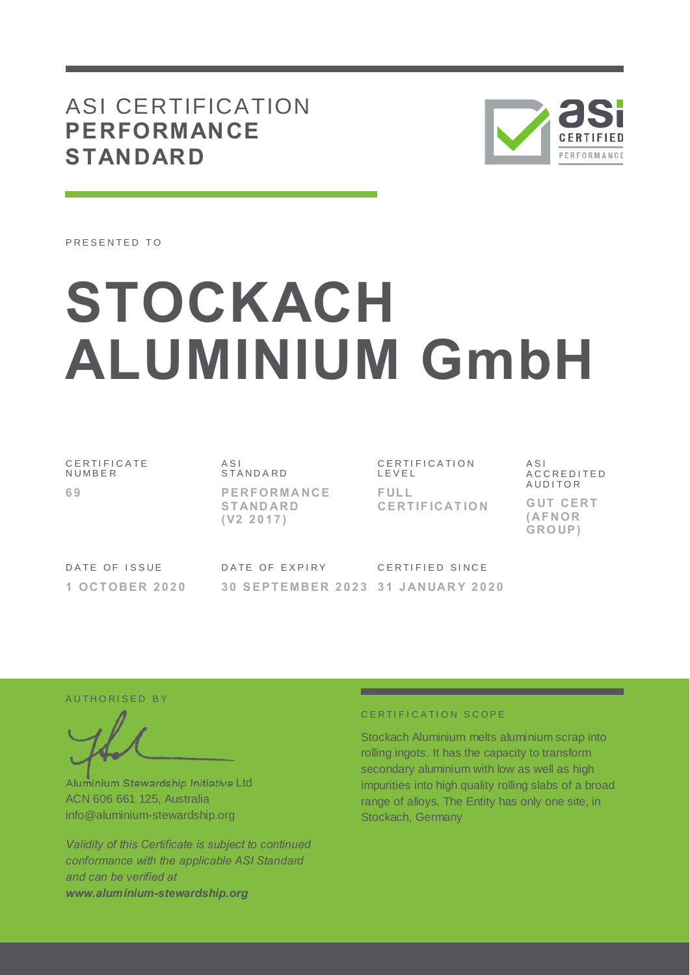# ASI CERTIFICATION **PERFORMANCE STANDARD**



PRESENTED TO

# **STOCKACH ALUMINIUM GmbH**

C E R T I F I C A T E **NUMBER 6 9**

A S I S T A N D A R D **P E RF ORMA NCE S T AND ARD ( V2 2 0 1 7 )**

DATE OF EXPIRY

C E R T I F I C A T I O N L E V E L **F UL L CE RT IF ICAT IO N**

CERTIFIED SINCE

A S I A C C R E D I T E D **AUDITOR** 

**G UT CE RT ( AF NOR GRO UP )**

DATE OF ISSUE **1 OCT OBE R 2 0 2 0**

**3 0 S E P T E MBE R 2 0 2 3 3 1 J ANUAR Y 2 0 2 0**

AUTHORISED BY

Aluminium Stewardship Initiative Ltd ACN 606 661 125, Australia info@aluminium-stewardship.org

*Validity of this Certificate is subject to continued conformance with the applicable ASI Standard and can be verified at www.aluminium-stewardship.org*

#### CERTIFICATION SCOPE

Stockach Aluminium melts aluminium scrap into rolling ingots. It has the capacity to transform secondary aluminium with low as well as high impurities into high quality rolling slabs of a broad range of alloys. The Entity has only one site, in Stockach, Germany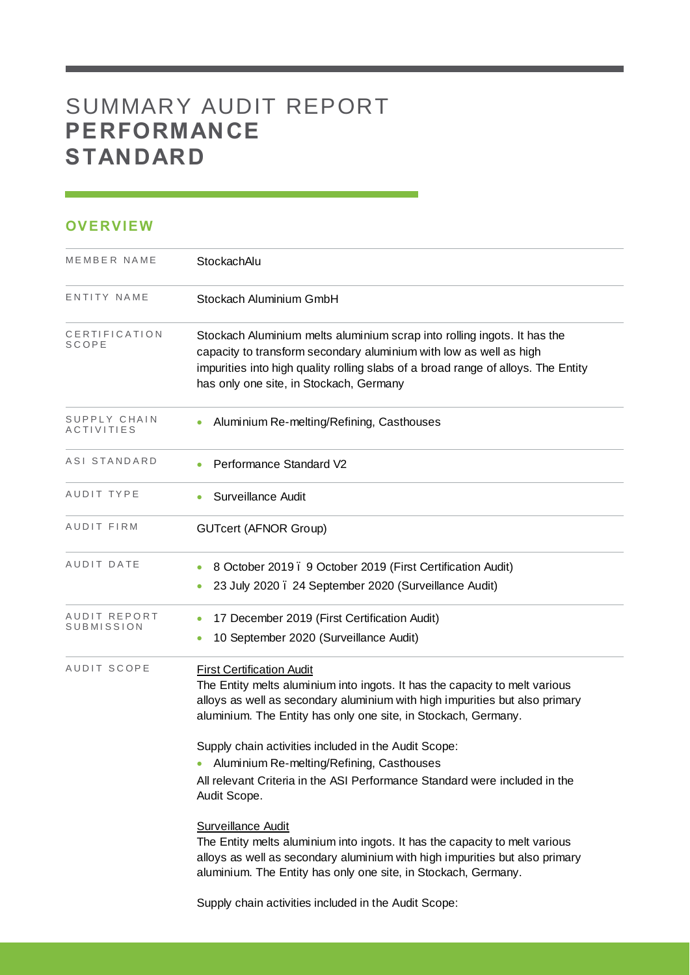# SUMMARY AUDIT REPORT **PERFORMANCE STANDARD**

## **OVERVIEW**

| MEMBER NAME                       | StockachAlu                                                                                                                                                                                                                                                                                                                                                                                                                                                                                                                                                                                                                                                                                                                      |
|-----------------------------------|----------------------------------------------------------------------------------------------------------------------------------------------------------------------------------------------------------------------------------------------------------------------------------------------------------------------------------------------------------------------------------------------------------------------------------------------------------------------------------------------------------------------------------------------------------------------------------------------------------------------------------------------------------------------------------------------------------------------------------|
| ENTITY NAME                       | Stockach Aluminium GmbH                                                                                                                                                                                                                                                                                                                                                                                                                                                                                                                                                                                                                                                                                                          |
| CERTIFICATION<br>SCOPE            | Stockach Aluminium melts aluminium scrap into rolling ingots. It has the<br>capacity to transform secondary aluminium with low as well as high<br>impurities into high quality rolling slabs of a broad range of alloys. The Entity<br>has only one site, in Stockach, Germany                                                                                                                                                                                                                                                                                                                                                                                                                                                   |
| SUPPLY CHAIN<br>ACTIVITIES        | Aluminium Re-melting/Refining, Casthouses                                                                                                                                                                                                                                                                                                                                                                                                                                                                                                                                                                                                                                                                                        |
| ASI STANDARD                      | Performance Standard V2                                                                                                                                                                                                                                                                                                                                                                                                                                                                                                                                                                                                                                                                                                          |
| AUDIT TYPE                        | Surveillance Audit                                                                                                                                                                                                                                                                                                                                                                                                                                                                                                                                                                                                                                                                                                               |
| AUDIT FIRM                        | <b>GUTcert (AFNOR Group)</b>                                                                                                                                                                                                                                                                                                                                                                                                                                                                                                                                                                                                                                                                                                     |
| AUDIT DATE                        | 8 October 2019. 9 October 2019 (First Certification Audit)<br>23 July 2020. 24 September 2020 (Surveillance Audit)                                                                                                                                                                                                                                                                                                                                                                                                                                                                                                                                                                                                               |
| AUDIT REPORT<br><b>SUBMISSION</b> | 17 December 2019 (First Certification Audit)<br>$\bullet$<br>10 September 2020 (Surveillance Audit)<br>$\bullet$                                                                                                                                                                                                                                                                                                                                                                                                                                                                                                                                                                                                                 |
| <b>AUDIT SCOPE</b>                | <b>First Certification Audit</b><br>The Entity melts aluminium into ingots. It has the capacity to melt various<br>alloys as well as secondary aluminium with high impurities but also primary<br>aluminium. The Entity has only one site, in Stockach, Germany.<br>Supply chain activities included in the Audit Scope:<br>Aluminium Re-melting/Refining, Casthouses<br>All relevant Criteria in the ASI Performance Standard were included in the<br>Audit Scope.<br><b>Surveillance Audit</b><br>The Entity melts aluminium into ingots. It has the capacity to melt various<br>alloys as well as secondary aluminium with high impurities but also primary<br>aluminium. The Entity has only one site, in Stockach, Germany. |
|                                   | Supply chain activities included in the Audit Scope:                                                                                                                                                                                                                                                                                                                                                                                                                                                                                                                                                                                                                                                                             |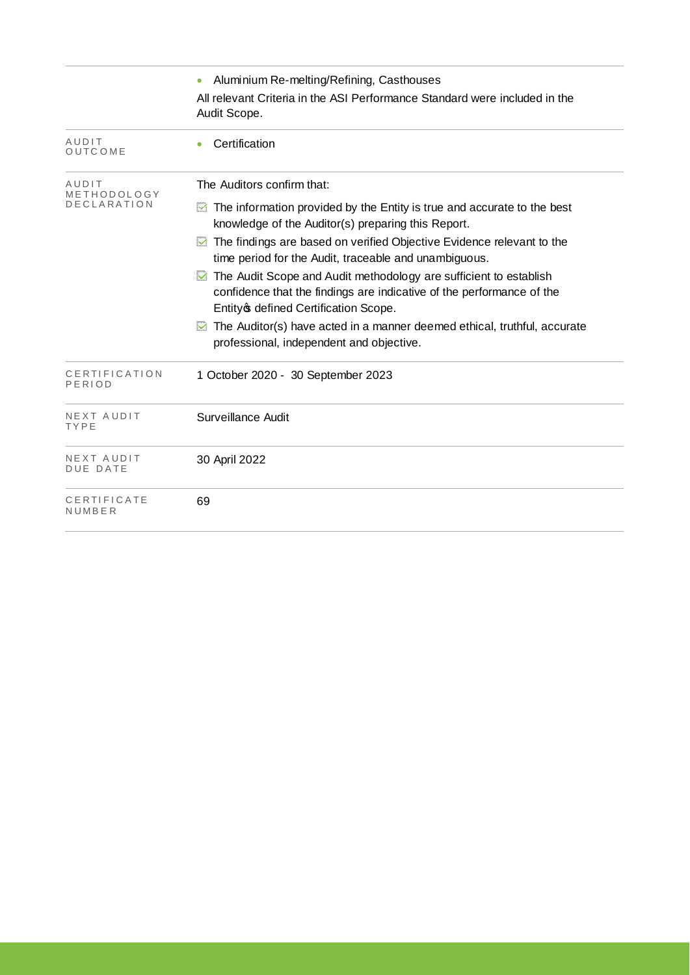|                         | Aluminium Re-melting/Refining, Casthouses                                                                                                                                                 |
|-------------------------|-------------------------------------------------------------------------------------------------------------------------------------------------------------------------------------------|
|                         | All relevant Criteria in the ASI Performance Standard were included in the<br>Audit Scope.                                                                                                |
| AUDIT<br>OUTCOME        | Certification                                                                                                                                                                             |
| AUDIT<br>METHODOLOGY    | The Auditors confirm that:                                                                                                                                                                |
| <b>DECLARATION</b>      | The information provided by the Entity is true and accurate to the best<br>⊻<br>knowledge of the Auditor(s) preparing this Report.                                                        |
|                         | The findings are based on verified Objective Evidence relevant to the<br>time period for the Audit, traceable and unambiguous.                                                            |
|                         | The Audit Scope and Audit methodology are sufficient to establish<br>⊻<br>confidence that the findings are indicative of the performance of the<br>Entity of defined Certification Scope. |
|                         | The Auditor(s) have acted in a manner deemed ethical, truthful, accurate<br>⊻<br>professional, independent and objective.                                                                 |
| CERTIFICATION<br>PERIOD | 1 October 2020 - 30 September 2023                                                                                                                                                        |
| NEXT AUDIT<br>TYPE      | Surveillance Audit                                                                                                                                                                        |
| NEXT AUDIT<br>DUE DATE  | 30 April 2022                                                                                                                                                                             |
| CERTIFICATE<br>NUMBER   | 69                                                                                                                                                                                        |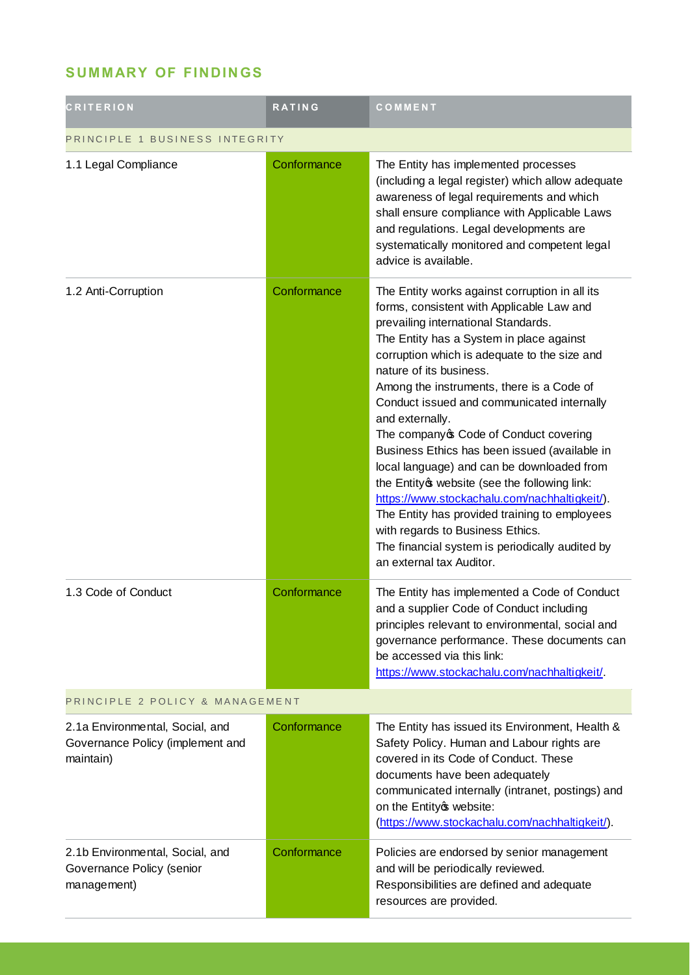## **SUMMARY OF FINDINGS**

| <b>CRITERION</b>                                                                 | <b>RATING</b> | COMMENT                                                                                                                                                                                                                                                                                                                                                                                                                                                                                                                                                                                                                                                                                                                                                                                  |  |
|----------------------------------------------------------------------------------|---------------|------------------------------------------------------------------------------------------------------------------------------------------------------------------------------------------------------------------------------------------------------------------------------------------------------------------------------------------------------------------------------------------------------------------------------------------------------------------------------------------------------------------------------------------------------------------------------------------------------------------------------------------------------------------------------------------------------------------------------------------------------------------------------------------|--|
| PRINCIPLE 1 BUSINESS INTEGRITY                                                   |               |                                                                                                                                                                                                                                                                                                                                                                                                                                                                                                                                                                                                                                                                                                                                                                                          |  |
| 1.1 Legal Compliance                                                             | Conformance   | The Entity has implemented processes<br>(including a legal register) which allow adequate<br>awareness of legal requirements and which<br>shall ensure compliance with Applicable Laws<br>and regulations. Legal developments are<br>systematically monitored and competent legal<br>advice is available.                                                                                                                                                                                                                                                                                                                                                                                                                                                                                |  |
| 1.2 Anti-Corruption                                                              | Conformance   | The Entity works against corruption in all its<br>forms, consistent with Applicable Law and<br>prevailing international Standards.<br>The Entity has a System in place against<br>corruption which is adequate to the size and<br>nature of its business.<br>Among the instruments, there is a Code of<br>Conduct issued and communicated internally<br>and externally.<br>The company of Code of Conduct covering<br>Business Ethics has been issued (available in<br>local language) and can be downloaded from<br>the Entity of website (see the following link:<br>https://www.stockachalu.com/nachhaltigkeit/).<br>The Entity has provided training to employees<br>with regards to Business Ethics.<br>The financial system is periodically audited by<br>an external tax Auditor. |  |
| 1.3 Code of Conduct                                                              | Conformance   | The Entity has implemented a Code of Conduct<br>and a supplier Code of Conduct including<br>principles relevant to environmental, social and<br>governance performance. These documents can<br>be accessed via this link:<br>https://www.stockachalu.com/nachhaltigkeit/.                                                                                                                                                                                                                                                                                                                                                                                                                                                                                                                |  |
| PRINCIPLE 2 POLICY & MANAGEMENT                                                  |               |                                                                                                                                                                                                                                                                                                                                                                                                                                                                                                                                                                                                                                                                                                                                                                                          |  |
| 2.1a Environmental, Social, and<br>Governance Policy (implement and<br>maintain) | Conformance   | The Entity has issued its Environment, Health &<br>Safety Policy. Human and Labour rights are<br>covered in its Code of Conduct. These<br>documents have been adequately<br>communicated internally (intranet, postings) and<br>on the Entityc website:<br>(https://www.stockachalu.com/nachhaltigkeit/).                                                                                                                                                                                                                                                                                                                                                                                                                                                                                |  |
| 2.1b Environmental, Social, and<br>Governance Policy (senior<br>management)      | Conformance   | Policies are endorsed by senior management<br>and will be periodically reviewed.<br>Responsibilities are defined and adequate<br>resources are provided.                                                                                                                                                                                                                                                                                                                                                                                                                                                                                                                                                                                                                                 |  |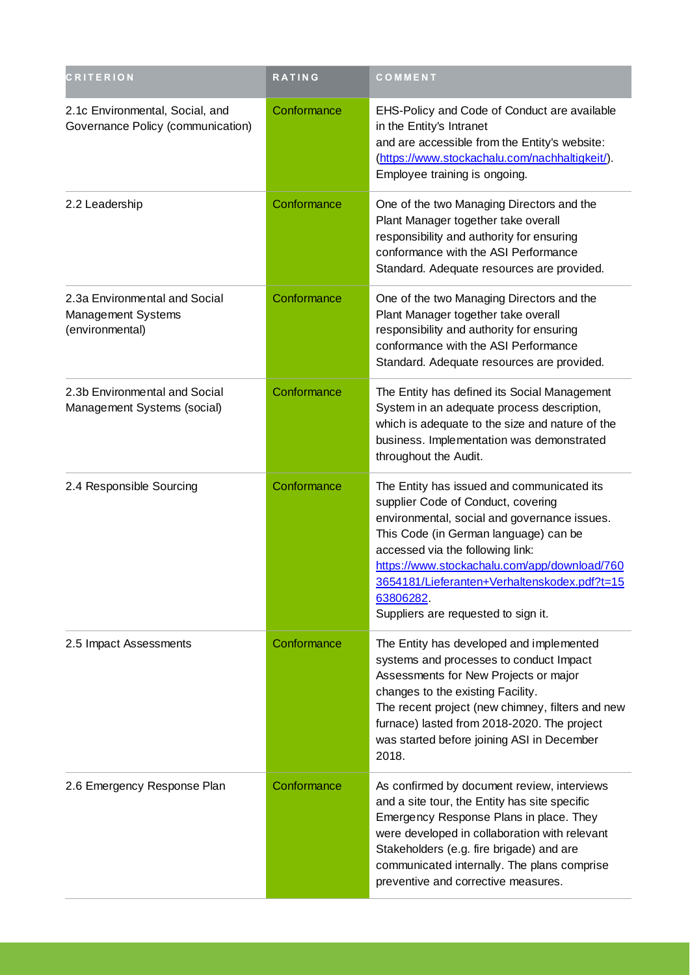| <b>CRITERION</b>                                                       | RATING      | COMMENT                                                                                                                                                                                                                                                                                                                                                           |
|------------------------------------------------------------------------|-------------|-------------------------------------------------------------------------------------------------------------------------------------------------------------------------------------------------------------------------------------------------------------------------------------------------------------------------------------------------------------------|
| 2.1c Environmental, Social, and<br>Governance Policy (communication)   | Conformance | EHS-Policy and Code of Conduct are available<br>in the Entity's Intranet<br>and are accessible from the Entity's website:<br>(https://www.stockachalu.com/nachhaltigkeit/).<br>Employee training is ongoing.                                                                                                                                                      |
| 2.2 Leadership                                                         | Conformance | One of the two Managing Directors and the<br>Plant Manager together take overall<br>responsibility and authority for ensuring<br>conformance with the ASI Performance<br>Standard. Adequate resources are provided.                                                                                                                                               |
| 2.3a Environmental and Social<br>Management Systems<br>(environmental) | Conformance | One of the two Managing Directors and the<br>Plant Manager together take overall<br>responsibility and authority for ensuring<br>conformance with the ASI Performance<br>Standard. Adequate resources are provided.                                                                                                                                               |
| 2.3b Environmental and Social<br>Management Systems (social)           | Conformance | The Entity has defined its Social Management<br>System in an adequate process description,<br>which is adequate to the size and nature of the<br>business. Implementation was demonstrated<br>throughout the Audit.                                                                                                                                               |
| 2.4 Responsible Sourcing                                               | Conformance | The Entity has issued and communicated its<br>supplier Code of Conduct, covering<br>environmental, social and governance issues.<br>This Code (in German language) can be<br>accessed via the following link:<br>https://www.stockachalu.com/app/download/760<br>3654181/Lieferanten+Verhaltenskodex.pdf?t=15<br>63806282.<br>Suppliers are requested to sign it. |
| 2.5 Impact Assessments                                                 | Conformance | The Entity has developed and implemented<br>systems and processes to conduct Impact<br>Assessments for New Projects or major<br>changes to the existing Facility.<br>The recent project (new chimney, filters and new<br>furnace) lasted from 2018-2020. The project<br>was started before joining ASI in December<br>2018.                                       |
| 2.6 Emergency Response Plan                                            | Conformance | As confirmed by document review, interviews<br>and a site tour, the Entity has site specific<br>Emergency Response Plans in place. They<br>were developed in collaboration with relevant<br>Stakeholders (e.g. fire brigade) and are<br>communicated internally. The plans comprise<br>preventive and corrective measures.                                        |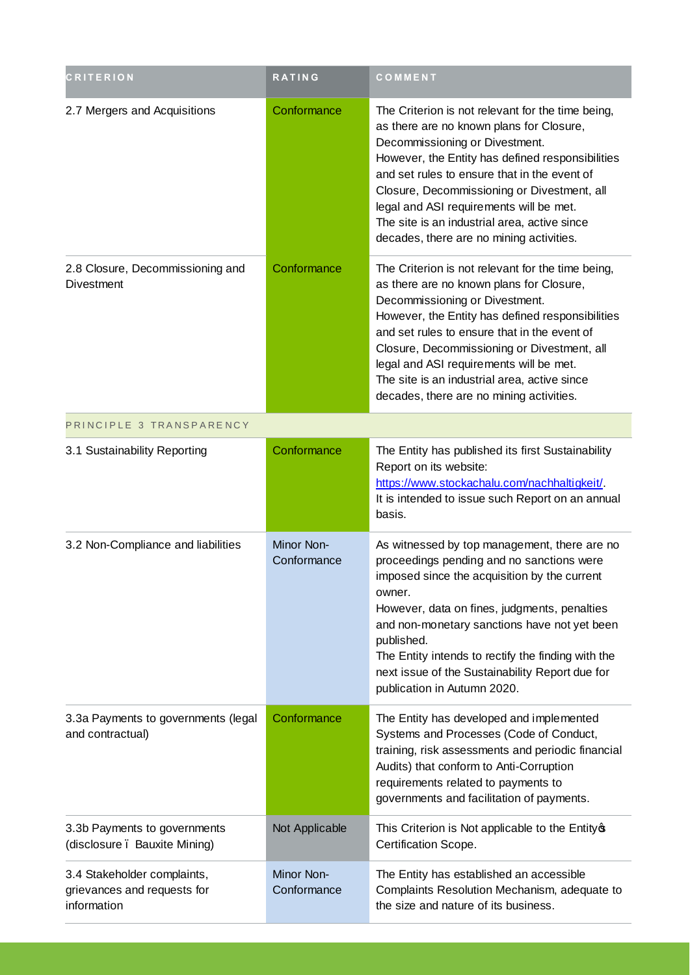| <b>CRITERION</b>                                                          | <b>RATING</b>             | COMMENT                                                                                                                                                                                                                                                                                                                                                                                                                   |
|---------------------------------------------------------------------------|---------------------------|---------------------------------------------------------------------------------------------------------------------------------------------------------------------------------------------------------------------------------------------------------------------------------------------------------------------------------------------------------------------------------------------------------------------------|
| 2.7 Mergers and Acquisitions                                              | Conformance               | The Criterion is not relevant for the time being,<br>as there are no known plans for Closure,<br>Decommissioning or Divestment.<br>However, the Entity has defined responsibilities<br>and set rules to ensure that in the event of<br>Closure, Decommissioning or Divestment, all<br>legal and ASI requirements will be met.<br>The site is an industrial area, active since<br>decades, there are no mining activities. |
| 2.8 Closure, Decommissioning and<br><b>Divestment</b>                     | Conformance               | The Criterion is not relevant for the time being,<br>as there are no known plans for Closure,<br>Decommissioning or Divestment.<br>However, the Entity has defined responsibilities<br>and set rules to ensure that in the event of<br>Closure, Decommissioning or Divestment, all<br>legal and ASI requirements will be met.<br>The site is an industrial area, active since<br>decades, there are no mining activities. |
| PRINCIPLE 3 TRANSPARENCY                                                  |                           |                                                                                                                                                                                                                                                                                                                                                                                                                           |
| 3.1 Sustainability Reporting                                              | Conformance               | The Entity has published its first Sustainability<br>Report on its website:<br>https://www.stockachalu.com/nachhaltigkeit/.<br>It is intended to issue such Report on an annual<br>basis.                                                                                                                                                                                                                                 |
| 3.2 Non-Compliance and liabilities                                        | Minor Non-<br>Conformance | As witnessed by top management, there are no<br>proceedings pending and no sanctions were<br>imposed since the acquisition by the current<br>owner.<br>However, data on fines, judgments, penalties<br>and non-monetary sanctions have not yet been<br>published.<br>The Entity intends to rectify the finding with the<br>next issue of the Sustainability Report due for<br>publication in Autumn 2020.                 |
| 3.3a Payments to governments (legal<br>and contractual)                   | Conformance               | The Entity has developed and implemented<br>Systems and Processes (Code of Conduct,<br>training, risk assessments and periodic financial<br>Audits) that conform to Anti-Corruption<br>requirements related to payments to<br>governments and facilitation of payments.                                                                                                                                                   |
| 3.3b Payments to governments<br>(disclosure . Bauxite Mining)             | Not Applicable            | This Criterion is Not applicable to the Entity of<br>Certification Scope.                                                                                                                                                                                                                                                                                                                                                 |
| 3.4 Stakeholder complaints,<br>grievances and requests for<br>information | Minor Non-<br>Conformance | The Entity has established an accessible<br>Complaints Resolution Mechanism, adequate to<br>the size and nature of its business.                                                                                                                                                                                                                                                                                          |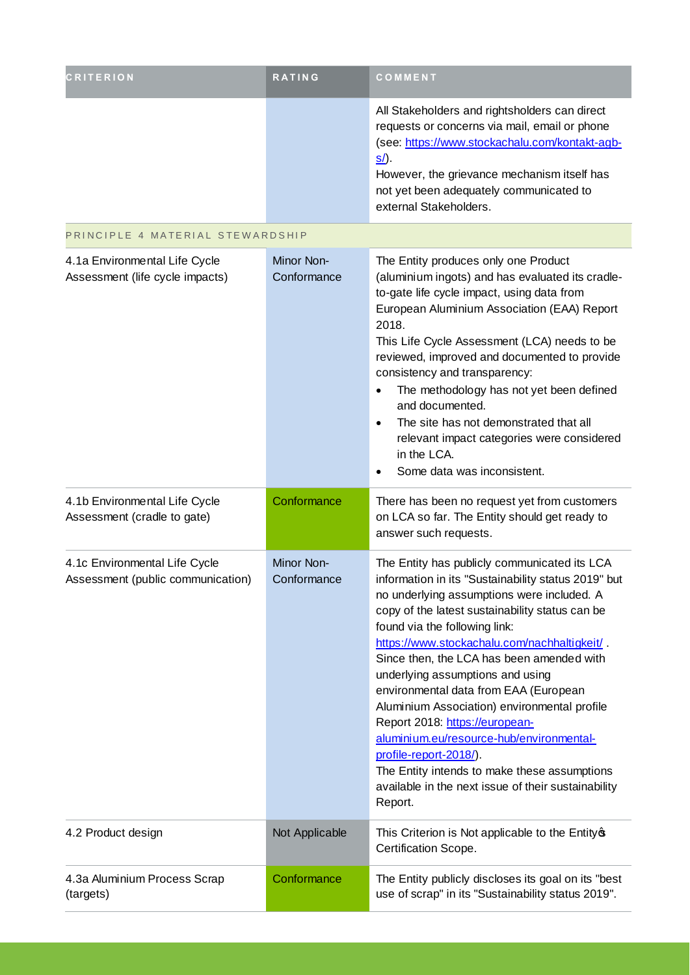| <b>CRITERION</b>                                                   | RATING                    | COMMENT                                                                                                                                                                                                                                                                                                                                                                                                                                                                                                                                                                                                                                                                                  |
|--------------------------------------------------------------------|---------------------------|------------------------------------------------------------------------------------------------------------------------------------------------------------------------------------------------------------------------------------------------------------------------------------------------------------------------------------------------------------------------------------------------------------------------------------------------------------------------------------------------------------------------------------------------------------------------------------------------------------------------------------------------------------------------------------------|
|                                                                    |                           | All Stakeholders and rightsholders can direct<br>requests or concerns via mail, email or phone<br>(see: https://www.stockachalu.com/kontakt-agb-<br><u>s/</u> ).<br>However, the grievance mechanism itself has<br>not yet been adequately communicated to<br>external Stakeholders.                                                                                                                                                                                                                                                                                                                                                                                                     |
| PRINCIPLE 4 MATERIAL STEWARDSHIP                                   |                           |                                                                                                                                                                                                                                                                                                                                                                                                                                                                                                                                                                                                                                                                                          |
| 4.1a Environmental Life Cycle<br>Assessment (life cycle impacts)   | Minor Non-<br>Conformance | The Entity produces only one Product<br>(aluminium ingots) and has evaluated its cradle-<br>to-gate life cycle impact, using data from<br>European Aluminium Association (EAA) Report<br>2018.<br>This Life Cycle Assessment (LCA) needs to be<br>reviewed, improved and documented to provide<br>consistency and transparency:<br>The methodology has not yet been defined<br>$\bullet$<br>and documented.<br>The site has not demonstrated that all<br>$\bullet$<br>relevant impact categories were considered<br>in the LCA.<br>Some data was inconsistent.<br>$\bullet$                                                                                                              |
| 4.1b Environmental Life Cycle<br>Assessment (cradle to gate)       | Conformance               | There has been no request yet from customers<br>on LCA so far. The Entity should get ready to<br>answer such requests.                                                                                                                                                                                                                                                                                                                                                                                                                                                                                                                                                                   |
| 4.1c Environmental Life Cycle<br>Assessment (public communication) | Minor Non-<br>Conformance | The Entity has publicly communicated its LCA<br>information in its "Sustainability status 2019" but<br>no underlying assumptions were included. A<br>copy of the latest sustainability status can be<br>found via the following link:<br>https://www.stockachalu.com/nachhaltigkeit/<br>Since then, the LCA has been amended with<br>underlying assumptions and using<br>environmental data from EAA (European<br>Aluminium Association) environmental profile<br>Report 2018: https://european-<br>aluminium.eu/resource-hub/environmental-<br>profile-report-2018/).<br>The Entity intends to make these assumptions<br>available in the next issue of their sustainability<br>Report. |
| 4.2 Product design                                                 | Not Applicable            | This Criterion is Not applicable to the Entity of<br>Certification Scope.                                                                                                                                                                                                                                                                                                                                                                                                                                                                                                                                                                                                                |
| 4.3a Aluminium Process Scrap<br>(targets)                          | Conformance               | The Entity publicly discloses its goal on its "best<br>use of scrap" in its "Sustainability status 2019".                                                                                                                                                                                                                                                                                                                                                                                                                                                                                                                                                                                |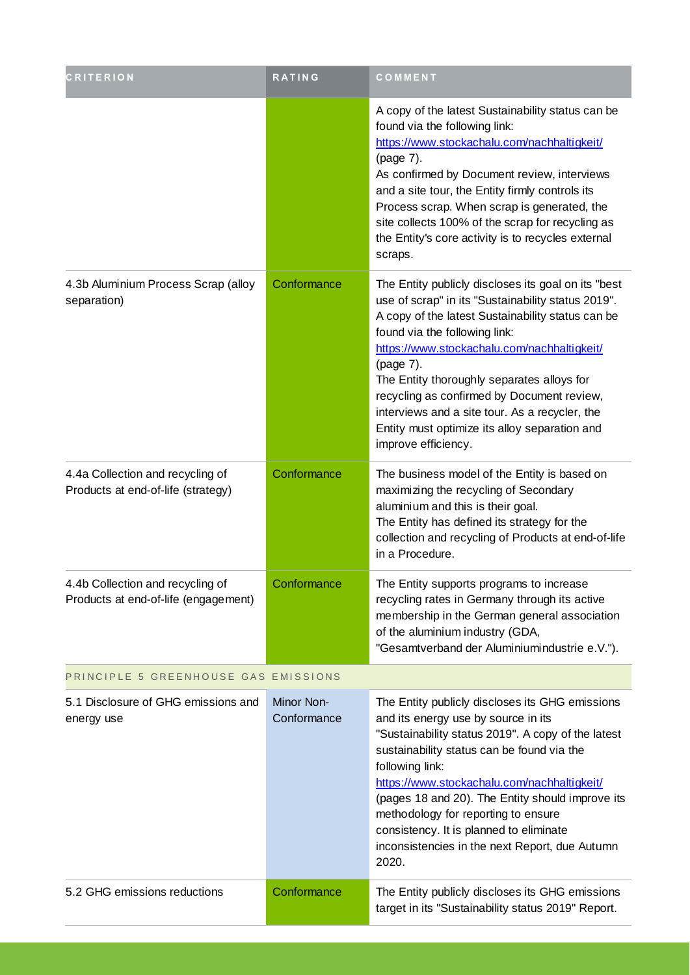| <b>CRITERION</b>                                                         | <b>RATING</b>             | COMMENT                                                                                                                                                                                                                                                                                                                                                                                                                                                                           |  |
|--------------------------------------------------------------------------|---------------------------|-----------------------------------------------------------------------------------------------------------------------------------------------------------------------------------------------------------------------------------------------------------------------------------------------------------------------------------------------------------------------------------------------------------------------------------------------------------------------------------|--|
|                                                                          |                           | A copy of the latest Sustainability status can be<br>found via the following link:<br>https://www.stockachalu.com/nachhaltigkeit/<br>(page 7).<br>As confirmed by Document review, interviews<br>and a site tour, the Entity firmly controls its<br>Process scrap. When scrap is generated, the<br>site collects 100% of the scrap for recycling as<br>the Entity's core activity is to recycles external<br>scraps.                                                              |  |
| 4.3b Aluminium Process Scrap (alloy<br>separation)                       | Conformance               | The Entity publicly discloses its goal on its "best<br>use of scrap" in its "Sustainability status 2019".<br>A copy of the latest Sustainability status can be<br>found via the following link:<br>https://www.stockachalu.com/nachhaltigkeit/<br>(page 7).<br>The Entity thoroughly separates alloys for<br>recycling as confirmed by Document review,<br>interviews and a site tour. As a recycler, the<br>Entity must optimize its alloy separation and<br>improve efficiency. |  |
| 4.4a Collection and recycling of<br>Products at end-of-life (strategy)   | Conformance               | The business model of the Entity is based on<br>maximizing the recycling of Secondary<br>aluminium and this is their goal.<br>The Entity has defined its strategy for the<br>collection and recycling of Products at end-of-life<br>in a Procedure.                                                                                                                                                                                                                               |  |
| 4.4b Collection and recycling of<br>Products at end-of-life (engagement) | Conformance               | The Entity supports programs to increase<br>recycling rates in Germany through its active<br>membership in the German general association<br>of the aluminium industry (GDA,<br>"Gesamtverband der Aluminiumindustrie e.V.").                                                                                                                                                                                                                                                     |  |
| PRINCIPLE 5 GREENHOUSE GAS EMISSIONS                                     |                           |                                                                                                                                                                                                                                                                                                                                                                                                                                                                                   |  |
| 5.1 Disclosure of GHG emissions and<br>energy use                        | Minor Non-<br>Conformance | The Entity publicly discloses its GHG emissions<br>and its energy use by source in its<br>"Sustainability status 2019". A copy of the latest<br>sustainability status can be found via the<br>following link:<br>https://www.stockachalu.com/nachhaltigkeit/<br>(pages 18 and 20). The Entity should improve its<br>methodology for reporting to ensure<br>consistency. It is planned to eliminate<br>inconsistencies in the next Report, due Autumn<br>2020.                     |  |
| 5.2 GHG emissions reductions                                             | Conformance               | The Entity publicly discloses its GHG emissions<br>target in its "Sustainability status 2019" Report.                                                                                                                                                                                                                                                                                                                                                                             |  |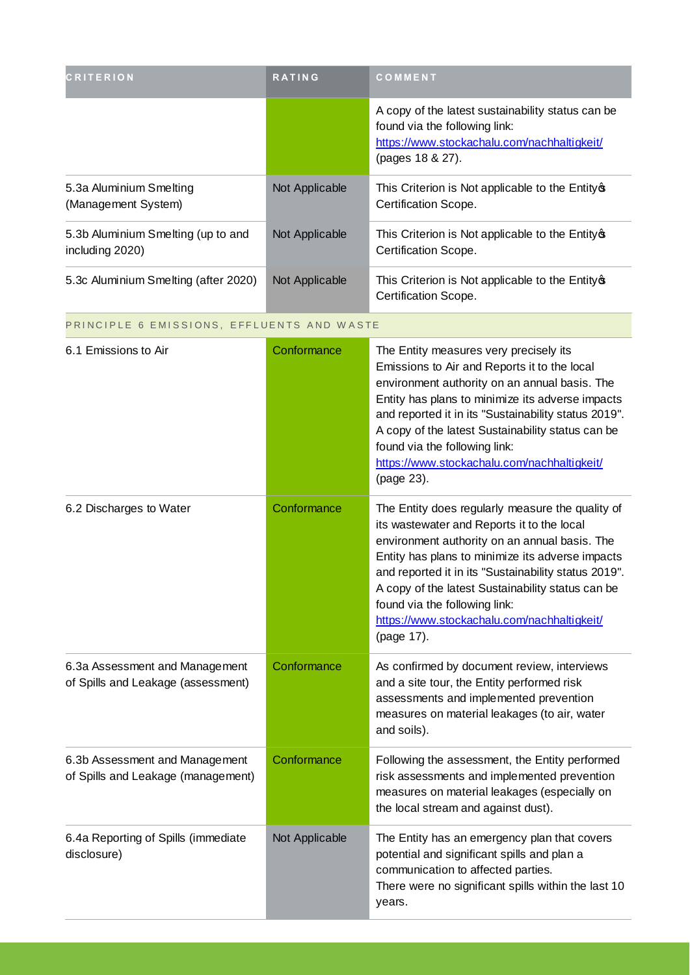| <b>CRITERION</b>                                      | <b>RATING</b>  | COMMENT                                                                                                                                               |
|-------------------------------------------------------|----------------|-------------------------------------------------------------------------------------------------------------------------------------------------------|
|                                                       |                | A copy of the latest sustainability status can be<br>found via the following link:<br>https://www.stockachalu.com/nachhaltigkeit/<br>(pages 18 & 27). |
| 5.3a Aluminium Smelting<br>(Management System)        | Not Applicable | This Criterion is Not applicable to the Entity of<br>Certification Scope.                                                                             |
| 5.3b Aluminium Smelting (up to and<br>including 2020) | Not Applicable | This Criterion is Not applicable to the Entity of<br>Certification Scope.                                                                             |
| 5.3c Aluminium Smelting (after 2020)                  | Not Applicable | This Criterion is Not applicable to the Entity of<br>Certification Scope.                                                                             |

#### PRINCIPLE 6 EMISSIONS, EFFLUENTS AND WASTE

| 6.1 Emissions to Air                                                 | Conformance    | The Entity measures very precisely its<br>Emissions to Air and Reports it to the local<br>environment authority on an annual basis. The<br>Entity has plans to minimize its adverse impacts<br>and reported it in its "Sustainability status 2019".<br>A copy of the latest Sustainability status can be<br>found via the following link:<br>https://www.stockachalu.com/nachhaltigkeit/<br>(page 23).         |
|----------------------------------------------------------------------|----------------|----------------------------------------------------------------------------------------------------------------------------------------------------------------------------------------------------------------------------------------------------------------------------------------------------------------------------------------------------------------------------------------------------------------|
| 6.2 Discharges to Water                                              | Conformance    | The Entity does regularly measure the quality of<br>its wastewater and Reports it to the local<br>environment authority on an annual basis. The<br>Entity has plans to minimize its adverse impacts<br>and reported it in its "Sustainability status 2019".<br>A copy of the latest Sustainability status can be<br>found via the following link:<br>https://www.stockachalu.com/nachhaltigkeit/<br>(page 17). |
| 6.3a Assessment and Management<br>of Spills and Leakage (assessment) | Conformance    | As confirmed by document review, interviews<br>and a site tour, the Entity performed risk<br>assessments and implemented prevention<br>measures on material leakages (to air, water<br>and soils).                                                                                                                                                                                                             |
| 6.3b Assessment and Management<br>of Spills and Leakage (management) | Conformance    | Following the assessment, the Entity performed<br>risk assessments and implemented prevention<br>measures on material leakages (especially on<br>the local stream and against dust).                                                                                                                                                                                                                           |
| 6.4a Reporting of Spills (immediate<br>disclosure)                   | Not Applicable | The Entity has an emergency plan that covers<br>potential and significant spills and plan a<br>communication to affected parties.<br>There were no significant spills within the last 10<br>years.                                                                                                                                                                                                             |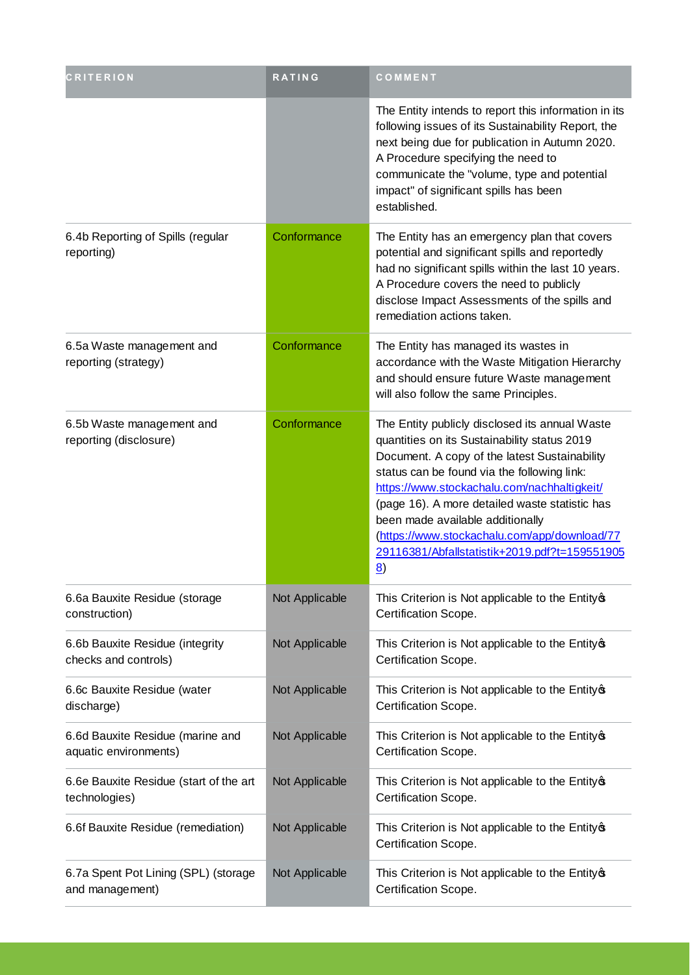| <b>CRITERION</b>                                          | <b>RATING</b>  | COMMENT                                                                                                                                                                                                                                                                                                                                                                                                                                                 |
|-----------------------------------------------------------|----------------|---------------------------------------------------------------------------------------------------------------------------------------------------------------------------------------------------------------------------------------------------------------------------------------------------------------------------------------------------------------------------------------------------------------------------------------------------------|
|                                                           |                | The Entity intends to report this information in its<br>following issues of its Sustainability Report, the<br>next being due for publication in Autumn 2020.<br>A Procedure specifying the need to<br>communicate the "volume, type and potential<br>impact" of significant spills has been<br>established.                                                                                                                                             |
| 6.4b Reporting of Spills (regular<br>reporting)           | Conformance    | The Entity has an emergency plan that covers<br>potential and significant spills and reportedly<br>had no significant spills within the last 10 years.<br>A Procedure covers the need to publicly<br>disclose Impact Assessments of the spills and<br>remediation actions taken.                                                                                                                                                                        |
| 6.5a Waste management and<br>reporting (strategy)         | Conformance    | The Entity has managed its wastes in<br>accordance with the Waste Mitigation Hierarchy<br>and should ensure future Waste management<br>will also follow the same Principles.                                                                                                                                                                                                                                                                            |
| 6.5b Waste management and<br>reporting (disclosure)       | Conformance    | The Entity publicly disclosed its annual Waste<br>quantities on its Sustainability status 2019<br>Document. A copy of the latest Sustainability<br>status can be found via the following link:<br>https://www.stockachalu.com/nachhaltigkeit/<br>(page 16). A more detailed waste statistic has<br>been made available additionally<br>(https://www.stockachalu.com/app/download/77<br>29116381/Abfallstatistik+2019.pdf?t=159551905<br>$\underline{8}$ |
| 6.6a Bauxite Residue (storage<br>construction)            | Not Applicable | This Criterion is Not applicable to the Entity®<br>Certification Scope.                                                                                                                                                                                                                                                                                                                                                                                 |
| 6.6b Bauxite Residue (integrity<br>checks and controls)   | Not Applicable | This Criterion is Not applicable to the Entity of<br>Certification Scope.                                                                                                                                                                                                                                                                                                                                                                               |
| 6.6c Bauxite Residue (water<br>discharge)                 | Not Applicable | This Criterion is Not applicable to the Entity of<br>Certification Scope.                                                                                                                                                                                                                                                                                                                                                                               |
| 6.6d Bauxite Residue (marine and<br>aquatic environments) | Not Applicable | This Criterion is Not applicable to the Entity of<br>Certification Scope.                                                                                                                                                                                                                                                                                                                                                                               |
| 6.6e Bauxite Residue (start of the art<br>technologies)   | Not Applicable | This Criterion is Not applicable to the Entity of<br>Certification Scope.                                                                                                                                                                                                                                                                                                                                                                               |
| 6.6f Bauxite Residue (remediation)                        | Not Applicable | This Criterion is Not applicable to the Entity of<br>Certification Scope.                                                                                                                                                                                                                                                                                                                                                                               |
| 6.7a Spent Pot Lining (SPL) (storage<br>and management)   | Not Applicable | This Criterion is Not applicable to the Entity of<br>Certification Scope.                                                                                                                                                                                                                                                                                                                                                                               |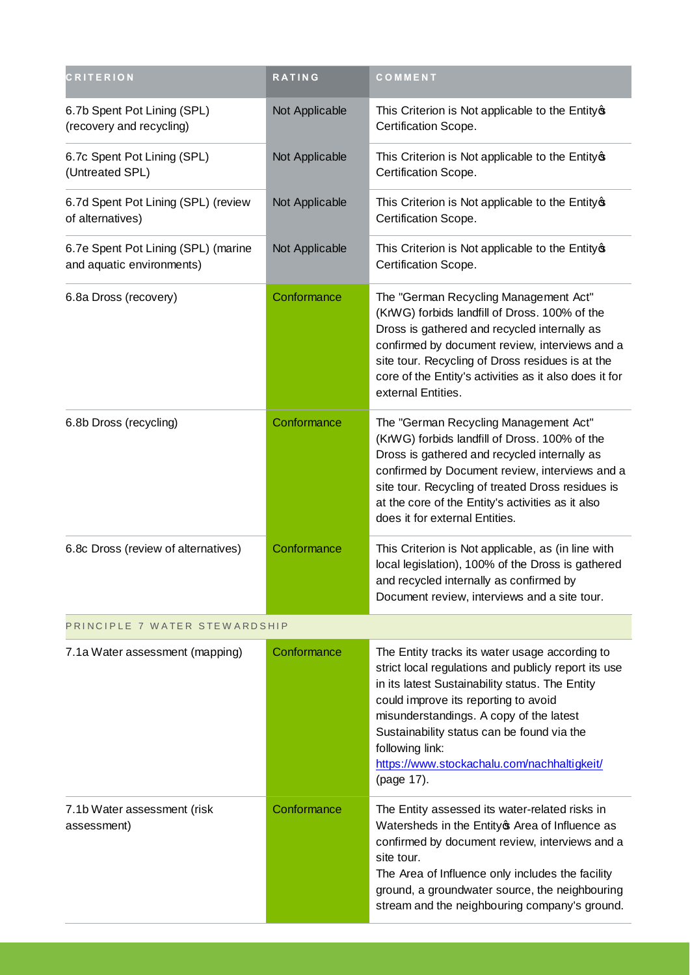| <b>CRITERION</b>                                                 | <b>RATING</b>  | COMMENT                                                                                                                                                                                                                                                                                                                                                                    |
|------------------------------------------------------------------|----------------|----------------------------------------------------------------------------------------------------------------------------------------------------------------------------------------------------------------------------------------------------------------------------------------------------------------------------------------------------------------------------|
| 6.7b Spent Pot Lining (SPL)<br>(recovery and recycling)          | Not Applicable | This Criterion is Not applicable to the Entity of<br>Certification Scope.                                                                                                                                                                                                                                                                                                  |
| 6.7c Spent Pot Lining (SPL)<br>(Untreated SPL)                   | Not Applicable | This Criterion is Not applicable to the Entity of<br>Certification Scope.                                                                                                                                                                                                                                                                                                  |
| 6.7d Spent Pot Lining (SPL) (review<br>of alternatives)          | Not Applicable | This Criterion is Not applicable to the Entity of<br>Certification Scope.                                                                                                                                                                                                                                                                                                  |
| 6.7e Spent Pot Lining (SPL) (marine<br>and aquatic environments) | Not Applicable | This Criterion is Not applicable to the Entity of<br>Certification Scope.                                                                                                                                                                                                                                                                                                  |
| 6.8a Dross (recovery)                                            | Conformance    | The "German Recycling Management Act"<br>(KrWG) forbids landfill of Dross. 100% of the<br>Dross is gathered and recycled internally as<br>confirmed by document review, interviews and a<br>site tour. Recycling of Dross residues is at the<br>core of the Entity's activities as it also does it for<br>external Entities.                                               |
| 6.8b Dross (recycling)                                           | Conformance    | The "German Recycling Management Act"<br>(KrWG) forbids landfill of Dross. 100% of the<br>Dross is gathered and recycled internally as<br>confirmed by Document review, interviews and a<br>site tour. Recycling of treated Dross residues is<br>at the core of the Entity's activities as it also<br>does it for external Entities.                                       |
| 6.8c Dross (review of alternatives)                              | Conformance    | This Criterion is Not applicable, as (in line with<br>local legislation), 100% of the Dross is gathered<br>and recycled internally as confirmed by<br>Document review, interviews and a site tour.                                                                                                                                                                         |
| PRINCIPLE 7 WATER STEWARDSHIP                                    |                |                                                                                                                                                                                                                                                                                                                                                                            |
| 7.1a Water assessment (mapping)                                  | Conformance    | The Entity tracks its water usage according to<br>strict local regulations and publicly report its use<br>in its latest Sustainability status. The Entity<br>could improve its reporting to avoid<br>misunderstandings. A copy of the latest<br>Sustainability status can be found via the<br>following link:<br>https://www.stockachalu.com/nachhaltigkeit/<br>(page 17). |
| 7.1b Water assessment (risk<br>assessment)                       | Conformance    | The Entity assessed its water-related risks in<br>Watersheds in the Entity of Area of Influence as<br>confirmed by document review, interviews and a<br>site tour.<br>The Area of Influence only includes the facility<br>ground, a groundwater source, the neighbouring<br>stream and the neighbouring company's ground.                                                  |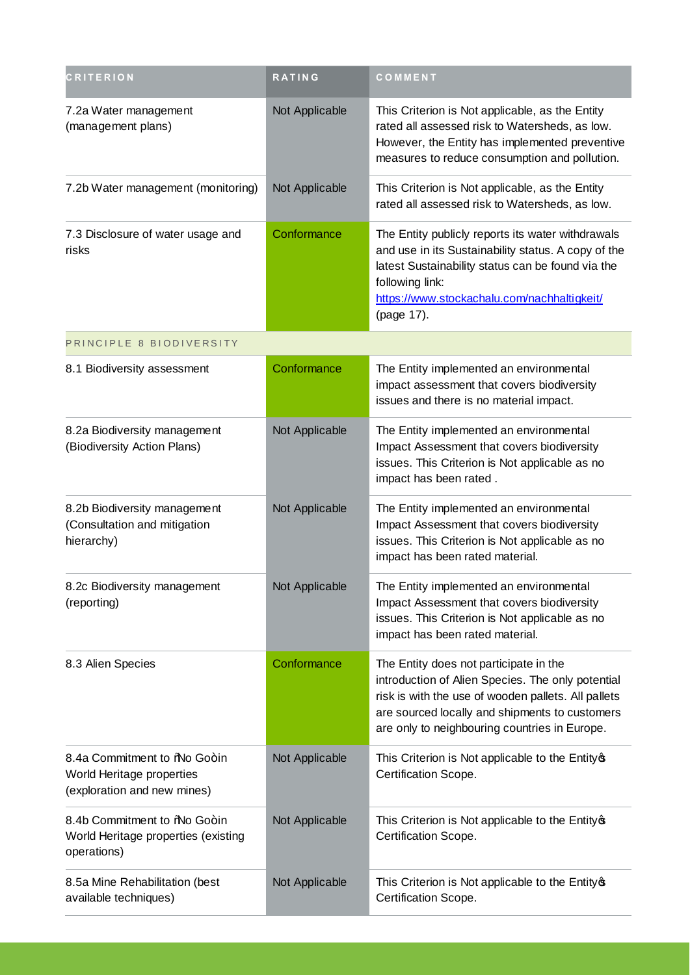| <b>CRITERION</b>                                                                         | <b>RATING</b>  | COMMENT                                                                                                                                                                                                                                               |
|------------------------------------------------------------------------------------------|----------------|-------------------------------------------------------------------------------------------------------------------------------------------------------------------------------------------------------------------------------------------------------|
| 7.2a Water management<br>(management plans)                                              | Not Applicable | This Criterion is Not applicable, as the Entity<br>rated all assessed risk to Watersheds, as low.<br>However, the Entity has implemented preventive<br>measures to reduce consumption and pollution.                                                  |
| 7.2b Water management (monitoring)                                                       | Not Applicable | This Criterion is Not applicable, as the Entity<br>rated all assessed risk to Watersheds, as low.                                                                                                                                                     |
| 7.3 Disclosure of water usage and<br>risks                                               | Conformance    | The Entity publicly reports its water withdrawals<br>and use in its Sustainability status. A copy of the<br>latest Sustainability status can be found via the<br>following link:<br>https://www.stockachalu.com/nachhaltigkeit/<br>(page 17).         |
| PRINCIPLE 8 BIODIVERSITY                                                                 |                |                                                                                                                                                                                                                                                       |
| 8.1 Biodiversity assessment                                                              | Conformance    | The Entity implemented an environmental<br>impact assessment that covers biodiversity<br>issues and there is no material impact.                                                                                                                      |
| 8.2a Biodiversity management<br>(Biodiversity Action Plans)                              | Not Applicable | The Entity implemented an environmental<br>Impact Assessment that covers biodiversity<br>issues. This Criterion is Not applicable as no<br>impact has been rated.                                                                                     |
| 8.2b Biodiversity management<br>(Consultation and mitigation<br>hierarchy)               | Not Applicable | The Entity implemented an environmental<br>Impact Assessment that covers biodiversity<br>issues. This Criterion is Not applicable as no<br>impact has been rated material.                                                                            |
| 8.2c Biodiversity management<br>(reporting)                                              | Not Applicable | The Entity implemented an environmental<br>Impact Assessment that covers biodiversity<br>issues. This Criterion is Not applicable as no<br>impact has been rated material.                                                                            |
| 8.3 Alien Species                                                                        | Conformance    | The Entity does not participate in the<br>introduction of Alien Species. The only potential<br>risk is with the use of wooden pallets. All pallets<br>are sourced locally and shipments to customers<br>are only to neighbouring countries in Europe. |
| 8.4a Commitment to %No Go+in<br>World Heritage properties<br>(exploration and new mines) | Not Applicable | This Criterion is Not applicable to the Entity of<br>Certification Scope.                                                                                                                                                                             |
| 8.4b Commitment to %No Go+in<br>World Heritage properties (existing<br>operations)       | Not Applicable | This Criterion is Not applicable to the Entity of<br>Certification Scope.                                                                                                                                                                             |
| 8.5a Mine Rehabilitation (best<br>available techniques)                                  | Not Applicable | This Criterion is Not applicable to the Entity of<br>Certification Scope.                                                                                                                                                                             |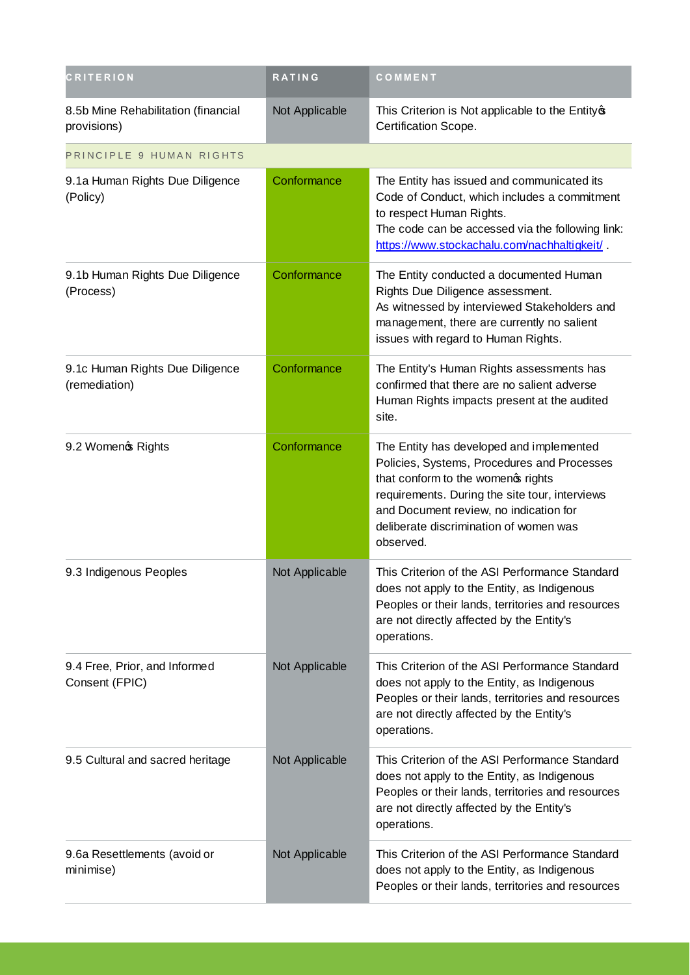| <b>CRITERION</b>                                   | <b>RATING</b>  | COMMENT                                                                                                                                                                                                                                                                           |
|----------------------------------------------------|----------------|-----------------------------------------------------------------------------------------------------------------------------------------------------------------------------------------------------------------------------------------------------------------------------------|
| 8.5b Mine Rehabilitation (financial<br>provisions) | Not Applicable | This Criterion is Not applicable to the Entity of<br>Certification Scope.                                                                                                                                                                                                         |
| PRINCIPLE 9 HUMAN RIGHTS                           |                |                                                                                                                                                                                                                                                                                   |
| 9.1a Human Rights Due Diligence<br>(Policy)        | Conformance    | The Entity has issued and communicated its<br>Code of Conduct, which includes a commitment<br>to respect Human Rights.<br>The code can be accessed via the following link:<br>https://www.stockachalu.com/nachhaltigkeit/                                                         |
| 9.1b Human Rights Due Diligence<br>(Process)       | Conformance    | The Entity conducted a documented Human<br>Rights Due Diligence assessment.<br>As witnessed by interviewed Stakeholders and<br>management, there are currently no salient<br>issues with regard to Human Rights.                                                                  |
| 9.1c Human Rights Due Diligence<br>(remediation)   | Conformance    | The Entity's Human Rights assessments has<br>confirmed that there are no salient adverse<br>Human Rights impacts present at the audited<br>site.                                                                                                                                  |
| 9.2 Womeno Rights                                  | Conformance    | The Entity has developed and implemented<br>Policies, Systems, Procedures and Processes<br>that conform to the women of rights<br>requirements. During the site tour, interviews<br>and Document review, no indication for<br>deliberate discrimination of women was<br>observed. |
| 9.3 Indigenous Peoples                             | Not Applicable | This Criterion of the ASI Performance Standard<br>does not apply to the Entity, as Indigenous<br>Peoples or their lands, territories and resources<br>are not directly affected by the Entity's<br>operations.                                                                    |
| 9.4 Free, Prior, and Informed<br>Consent (FPIC)    | Not Applicable | This Criterion of the ASI Performance Standard<br>does not apply to the Entity, as Indigenous<br>Peoples or their lands, territories and resources<br>are not directly affected by the Entity's<br>operations.                                                                    |
| 9.5 Cultural and sacred heritage                   | Not Applicable | This Criterion of the ASI Performance Standard<br>does not apply to the Entity, as Indigenous<br>Peoples or their lands, territories and resources<br>are not directly affected by the Entity's<br>operations.                                                                    |
| 9.6a Resettlements (avoid or<br>minimise)          | Not Applicable | This Criterion of the ASI Performance Standard<br>does not apply to the Entity, as Indigenous<br>Peoples or their lands, territories and resources                                                                                                                                |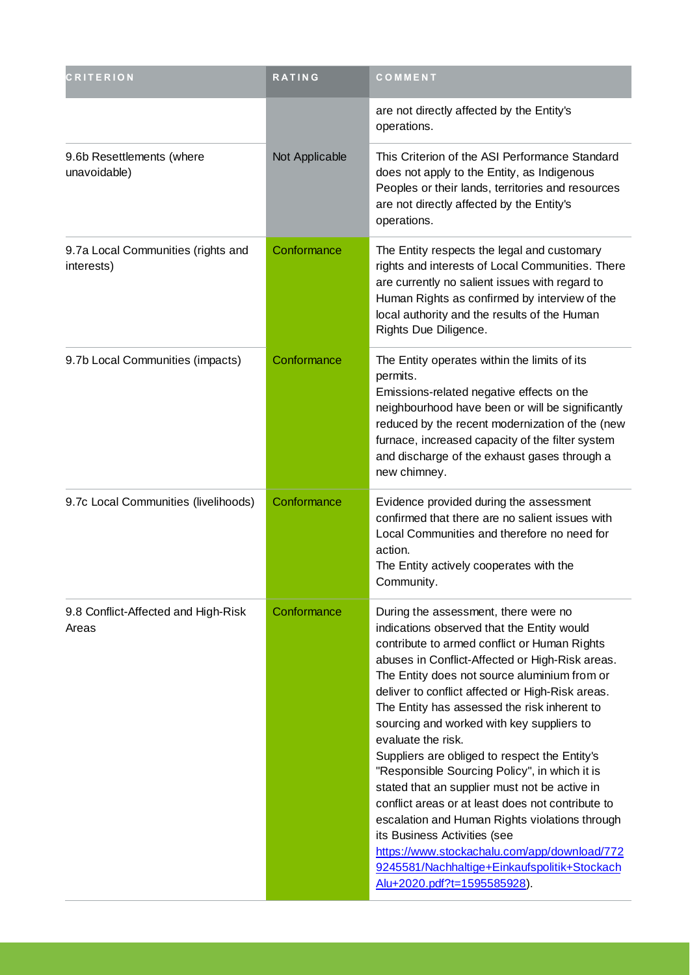| <b>CRITERION</b>                                 | <b>RATING</b>  | COMMENT                                                                                                                                                                                                                                                                                                                                                                                                                                                                                                                                                                                                                                                                                                                                                                                                                               |
|--------------------------------------------------|----------------|---------------------------------------------------------------------------------------------------------------------------------------------------------------------------------------------------------------------------------------------------------------------------------------------------------------------------------------------------------------------------------------------------------------------------------------------------------------------------------------------------------------------------------------------------------------------------------------------------------------------------------------------------------------------------------------------------------------------------------------------------------------------------------------------------------------------------------------|
|                                                  |                | are not directly affected by the Entity's<br>operations.                                                                                                                                                                                                                                                                                                                                                                                                                                                                                                                                                                                                                                                                                                                                                                              |
| 9.6b Resettlements (where<br>unavoidable)        | Not Applicable | This Criterion of the ASI Performance Standard<br>does not apply to the Entity, as Indigenous<br>Peoples or their lands, territories and resources<br>are not directly affected by the Entity's<br>operations.                                                                                                                                                                                                                                                                                                                                                                                                                                                                                                                                                                                                                        |
| 9.7a Local Communities (rights and<br>interests) | Conformance    | The Entity respects the legal and customary<br>rights and interests of Local Communities. There<br>are currently no salient issues with regard to<br>Human Rights as confirmed by interview of the<br>local authority and the results of the Human<br>Rights Due Diligence.                                                                                                                                                                                                                                                                                                                                                                                                                                                                                                                                                           |
| 9.7b Local Communities (impacts)                 | Conformance    | The Entity operates within the limits of its<br>permits.<br>Emissions-related negative effects on the<br>neighbourhood have been or will be significantly<br>reduced by the recent modernization of the (new<br>furnace, increased capacity of the filter system<br>and discharge of the exhaust gases through a<br>new chimney.                                                                                                                                                                                                                                                                                                                                                                                                                                                                                                      |
| 9.7c Local Communities (livelihoods)             | Conformance    | Evidence provided during the assessment<br>confirmed that there are no salient issues with<br>Local Communities and therefore no need for<br>action.<br>The Entity actively cooperates with the<br>Community.                                                                                                                                                                                                                                                                                                                                                                                                                                                                                                                                                                                                                         |
| 9.8 Conflict-Affected and High-Risk<br>Areas     | Conformance    | During the assessment, there were no<br>indications observed that the Entity would<br>contribute to armed conflict or Human Rights<br>abuses in Conflict-Affected or High-Risk areas.<br>The Entity does not source aluminium from or<br>deliver to conflict affected or High-Risk areas.<br>The Entity has assessed the risk inherent to<br>sourcing and worked with key suppliers to<br>evaluate the risk.<br>Suppliers are obliged to respect the Entity's<br>"Responsible Sourcing Policy", in which it is<br>stated that an supplier must not be active in<br>conflict areas or at least does not contribute to<br>escalation and Human Rights violations through<br>its Business Activities (see<br>https://www.stockachalu.com/app/download/772<br>9245581/Nachhaltige+Einkaufspolitik+Stockach<br>Alu+2020.pdf?t=1595585928). |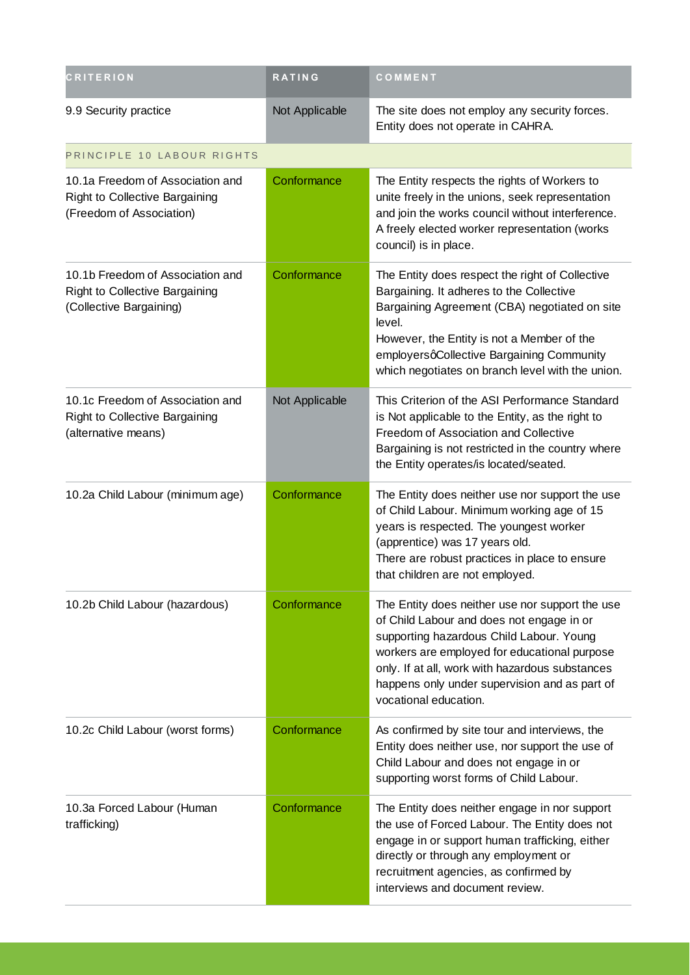| <b>CRITERION</b>                                                                                 | <b>RATING</b>  | COMMENT                                                                                                                                                                                                                                                                                                               |
|--------------------------------------------------------------------------------------------------|----------------|-----------------------------------------------------------------------------------------------------------------------------------------------------------------------------------------------------------------------------------------------------------------------------------------------------------------------|
| 9.9 Security practice                                                                            | Not Applicable | The site does not employ any security forces.<br>Entity does not operate in CAHRA.                                                                                                                                                                                                                                    |
| PRINCIPLE 10 LABOUR RIGHTS                                                                       |                |                                                                                                                                                                                                                                                                                                                       |
| 10.1a Freedom of Association and<br>Right to Collective Bargaining<br>(Freedom of Association)   | Conformance    | The Entity respects the rights of Workers to<br>unite freely in the unions, seek representation<br>and join the works council without interference.<br>A freely elected worker representation (works<br>council) is in place.                                                                                         |
| 10.1b Freedom of Association and<br>Right to Collective Bargaining<br>(Collective Bargaining)    | Conformance    | The Entity does respect the right of Collective<br>Bargaining. It adheres to the Collective<br>Bargaining Agreement (CBA) negotiated on site<br>level.<br>However, the Entity is not a Member of the<br>employersqCollective Bargaining Community<br>which negotiates on branch level with the union.                 |
| 10.1c Freedom of Association and<br><b>Right to Collective Bargaining</b><br>(alternative means) | Not Applicable | This Criterion of the ASI Performance Standard<br>is Not applicable to the Entity, as the right to<br>Freedom of Association and Collective<br>Bargaining is not restricted in the country where<br>the Entity operates/is located/seated.                                                                            |
| 10.2a Child Labour (minimum age)                                                                 | Conformance    | The Entity does neither use nor support the use<br>of Child Labour. Minimum working age of 15<br>years is respected. The youngest worker<br>(apprentice) was 17 years old.<br>There are robust practices in place to ensure<br>that children are not employed.                                                        |
| 10.2b Child Labour (hazardous)                                                                   | Conformance    | The Entity does neither use nor support the use<br>of Child Labour and does not engage in or<br>supporting hazardous Child Labour. Young<br>workers are employed for educational purpose<br>only. If at all, work with hazardous substances<br>happens only under supervision and as part of<br>vocational education. |
| 10.2c Child Labour (worst forms)                                                                 | Conformance    | As confirmed by site tour and interviews, the<br>Entity does neither use, nor support the use of<br>Child Labour and does not engage in or<br>supporting worst forms of Child Labour.                                                                                                                                 |
| 10.3a Forced Labour (Human<br>trafficking)                                                       | Conformance    | The Entity does neither engage in nor support<br>the use of Forced Labour. The Entity does not<br>engage in or support human trafficking, either<br>directly or through any employment or<br>recruitment agencies, as confirmed by<br>interviews and document review.                                                 |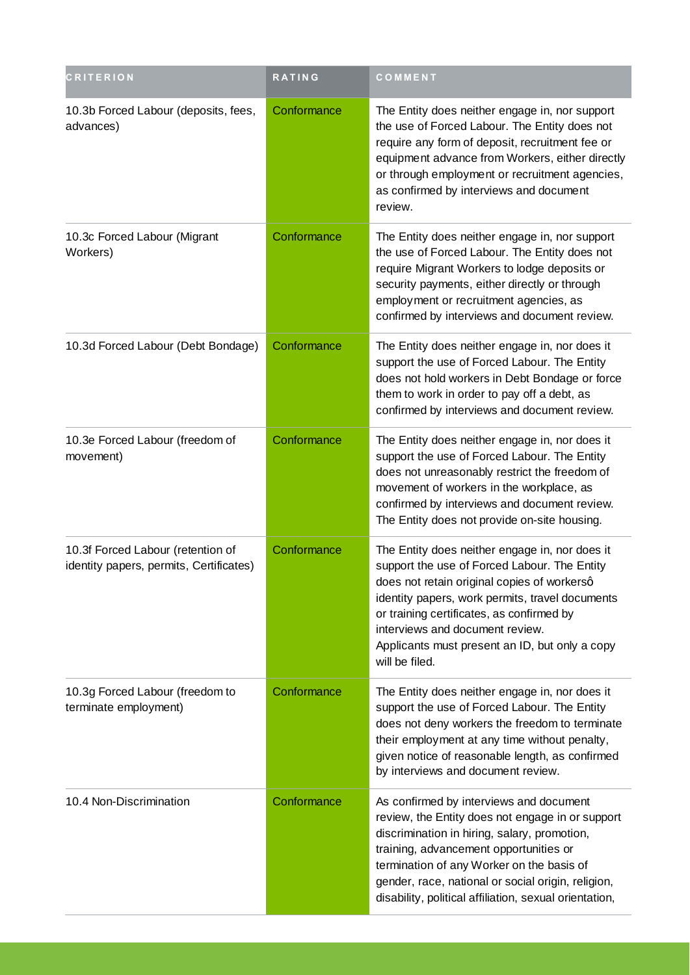| <b>CRITERION</b>                                                             | <b>RATING</b> | COMMENT                                                                                                                                                                                                                                                                                                                                              |
|------------------------------------------------------------------------------|---------------|------------------------------------------------------------------------------------------------------------------------------------------------------------------------------------------------------------------------------------------------------------------------------------------------------------------------------------------------------|
| 10.3b Forced Labour (deposits, fees,<br>advances)                            | Conformance   | The Entity does neither engage in, nor support<br>the use of Forced Labour. The Entity does not<br>require any form of deposit, recruitment fee or<br>equipment advance from Workers, either directly<br>or through employment or recruitment agencies,<br>as confirmed by interviews and document<br>review.                                        |
| 10.3c Forced Labour (Migrant<br>Workers)                                     | Conformance   | The Entity does neither engage in, nor support<br>the use of Forced Labour. The Entity does not<br>require Migrant Workers to lodge deposits or<br>security payments, either directly or through<br>employment or recruitment agencies, as<br>confirmed by interviews and document review.                                                           |
| 10.3d Forced Labour (Debt Bondage)                                           | Conformance   | The Entity does neither engage in, nor does it<br>support the use of Forced Labour. The Entity<br>does not hold workers in Debt Bondage or force<br>them to work in order to pay off a debt, as<br>confirmed by interviews and document review.                                                                                                      |
| 10.3e Forced Labour (freedom of<br>movement)                                 | Conformance   | The Entity does neither engage in, nor does it<br>support the use of Forced Labour. The Entity<br>does not unreasonably restrict the freedom of<br>movement of workers in the workplace, as<br>confirmed by interviews and document review.<br>The Entity does not provide on-site housing.                                                          |
| 10.3f Forced Labour (retention of<br>identity papers, permits, Certificates) | Conformance   | The Entity does neither engage in, nor does it<br>support the use of Forced Labour. The Entity<br>does not retain original copies of workersq<br>identity papers, work permits, travel documents<br>or training certificates, as confirmed by<br>interviews and document review.<br>Applicants must present an ID, but only a copy<br>will be filed. |
| 10.3g Forced Labour (freedom to<br>terminate employment)                     | Conformance   | The Entity does neither engage in, nor does it<br>support the use of Forced Labour. The Entity<br>does not deny workers the freedom to terminate<br>their employment at any time without penalty,<br>given notice of reasonable length, as confirmed<br>by interviews and document review.                                                           |
| 10.4 Non-Discrimination                                                      | Conformance   | As confirmed by interviews and document<br>review, the Entity does not engage in or support<br>discrimination in hiring, salary, promotion,<br>training, advancement opportunities or<br>termination of any Worker on the basis of<br>gender, race, national or social origin, religion,<br>disability, political affiliation, sexual orientation,   |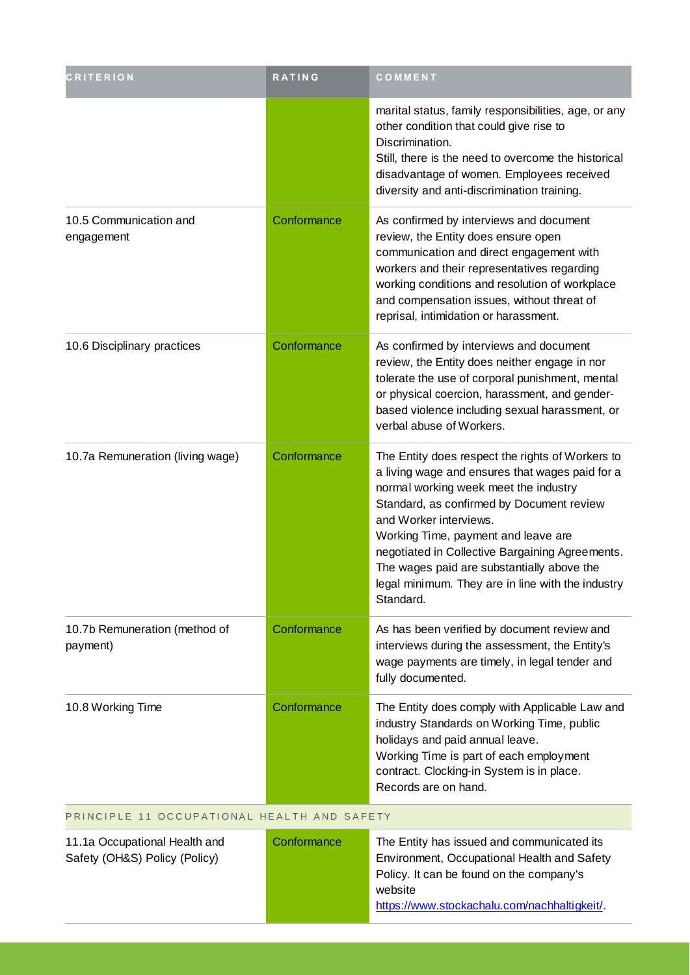| <b>CRITERION</b>                                               | <b>RATING</b> | COMMENT                                                                                                                                                                                                                                                                                                                                                                                                                       |
|----------------------------------------------------------------|---------------|-------------------------------------------------------------------------------------------------------------------------------------------------------------------------------------------------------------------------------------------------------------------------------------------------------------------------------------------------------------------------------------------------------------------------------|
|                                                                |               | marital status, family responsibilities, age, or any<br>other condition that could give rise to<br>Discrimination.<br>Still, there is the need to overcome the historical<br>disadvantage of women. Employees received<br>diversity and anti-discrimination training.                                                                                                                                                         |
| 10.5 Communication and<br>engagement                           | Conformance   | As confirmed by interviews and document<br>review, the Entity does ensure open<br>communication and direct engagement with<br>workers and their representatives regarding<br>working conditions and resolution of workplace<br>and compensation issues, without threat of<br>reprisal, intimidation or harassment.                                                                                                            |
| 10.6 Disciplinary practices                                    | Conformance   | As confirmed by interviews and document<br>review, the Entity does neither engage in nor<br>tolerate the use of corporal punishment, mental<br>or physical coercion, harassment, and gender-<br>based violence including sexual harassment, or<br>verbal abuse of Workers.                                                                                                                                                    |
| 10.7a Remuneration (living wage)                               | Conformance   | The Entity does respect the rights of Workers to<br>a living wage and ensures that wages paid for a<br>normal working week meet the industry<br>Standard, as confirmed by Document review<br>and Worker interviews.<br>Working Time, payment and leave are<br>negotiated in Collective Bargaining Agreements.<br>The wages paid are substantially above the<br>legal minimum. They are in line with the industry<br>Standard. |
| 10.7b Remuneration (method of<br>payment)                      | Conformance   | As has been verified by document review and<br>interviews during the assessment, the Entity's<br>wage payments are timely, in legal tender and<br>fully documented.                                                                                                                                                                                                                                                           |
| 10.8 Working Time                                              | Conformance   | The Entity does comply with Applicable Law and<br>industry Standards on Working Time, public<br>holidays and paid annual leave.<br>Working Time is part of each employment<br>contract. Clocking-in System is in place.<br>Records are on hand.                                                                                                                                                                               |
| PRINCIPLE 11 OCCUPATIONAL HEALTH AND SAFETY                    |               |                                                                                                                                                                                                                                                                                                                                                                                                                               |
| 11.1a Occupational Health and<br>Safety (OH&S) Policy (Policy) | Conformance   | The Entity has issued and communicated its<br>Environment, Occupational Health and Safety<br>Policy. It can be found on the company's                                                                                                                                                                                                                                                                                         |

website

https://www.stockachalu.com/nachhaltigkeit/.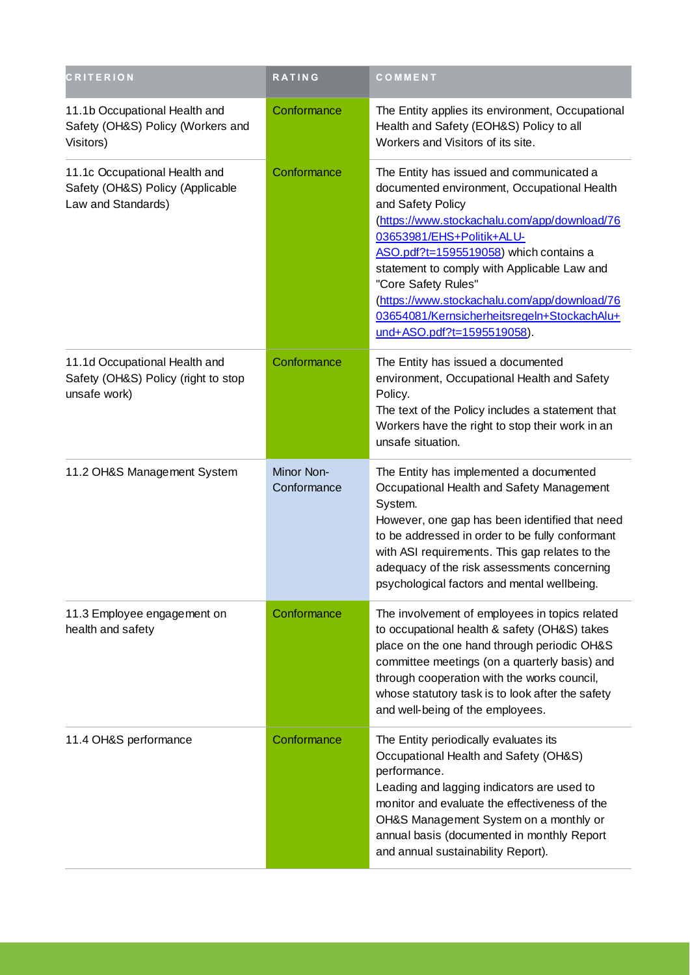| <b>CRITERION</b>                                                                        | <b>RATING</b>             | COMMENT                                                                                                                                                                                                                                                                                                                                                                                                                                |
|-----------------------------------------------------------------------------------------|---------------------------|----------------------------------------------------------------------------------------------------------------------------------------------------------------------------------------------------------------------------------------------------------------------------------------------------------------------------------------------------------------------------------------------------------------------------------------|
| 11.1b Occupational Health and<br>Safety (OH&S) Policy (Workers and<br>Visitors)         | Conformance               | The Entity applies its environment, Occupational<br>Health and Safety (EOH&S) Policy to all<br>Workers and Visitors of its site.                                                                                                                                                                                                                                                                                                       |
| 11.1c Occupational Health and<br>Safety (OH&S) Policy (Applicable<br>Law and Standards) | Conformance               | The Entity has issued and communicated a<br>documented environment, Occupational Health<br>and Safety Policy<br>(https://www.stockachalu.com/app/download/76<br>03653981/EHS+Politik+ALU-<br>ASO.pdf?t=1595519058) which contains a<br>statement to comply with Applicable Law and<br>"Core Safety Rules"<br>(https://www.stockachalu.com/app/download/76<br>03654081/Kernsicherheitsregeln+StockachAlu+<br>und+ASO.pdf?t=1595519058). |
| 11.1d Occupational Health and<br>Safety (OH&S) Policy (right to stop<br>unsafe work)    | Conformance               | The Entity has issued a documented<br>environment, Occupational Health and Safety<br>Policy.<br>The text of the Policy includes a statement that<br>Workers have the right to stop their work in an<br>unsafe situation.                                                                                                                                                                                                               |
| 11.2 OH&S Management System                                                             | Minor Non-<br>Conformance | The Entity has implemented a documented<br>Occupational Health and Safety Management<br>System.<br>However, one gap has been identified that need<br>to be addressed in order to be fully conformant<br>with ASI requirements. This gap relates to the<br>adequacy of the risk assessments concerning<br>psychological factors and mental wellbeing.                                                                                   |
| 11.3 Employee engagement on<br>health and safety                                        | Conformance               | The involvement of employees in topics related<br>to occupational health & safety (OH&S) takes<br>place on the one hand through periodic OH&S<br>committee meetings (on a quarterly basis) and<br>through cooperation with the works council,<br>whose statutory task is to look after the safety<br>and well-being of the employees.                                                                                                  |
| 11.4 OH&S performance                                                                   | Conformance               | The Entity periodically evaluates its<br>Occupational Health and Safety (OH&S)<br>performance.<br>Leading and lagging indicators are used to<br>monitor and evaluate the effectiveness of the<br>OH&S Management System on a monthly or<br>annual basis (documented in monthly Report<br>and annual sustainability Report).                                                                                                            |